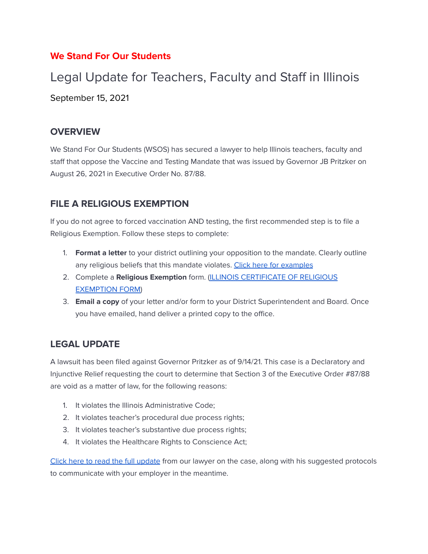### **We Stand For Our Students**

# Legal Update for Teachers, Faculty and Staff in Illinois September 15, 2021

#### **OVERVIEW**

We Stand For Our Students (WSOS) has secured a lawyer to help Illinois teachers, faculty and staff that oppose the Vaccine and Testing Mandate that was issued by Governor JB Pritzker on August 26, 2021 in Executive Order No. 87/88.

#### **FILE A RELIGIOUS EXEMPTION**

If you do not agree to forced vaccination AND testing, the first recommended step is to file a Religious Exemption. Follow these steps to complete:

- 1. **Format a letter** to your district outlining your opposition to the mandate. Clearly outline any religious beliefs that this mandate violates. Click here for examples
- 2. Complete a **Religious Exemption** form. (ILLINOIS CERTIFICATE OF RELIGIOUS EXEMPTION FORM)
- 3. **Email a copy** of your letter and/or form to your District Superintendent and Board. Once you have emailed, hand deliver a printed copy to the office.

## **LEGAL UPDATE**

A lawsuit has been filed against Governor Pritzker as of 9/14/21. This case is a Declaratory and Injunctive Relief requesting the court to determine that Section 3 of the Executive Order #87/88 are void as a matter of law, for the following reasons:

- 1. It violates the Illinois Administrative Code;
- 2. It violates teacher's procedural due process rights;
- 3. It violates teacher's substantive due process rights;
- 4. It violates the Healthcare Rights to Conscience Act;

Click here to read the full update from our lawyer on the case, along with his suggested protocols to communicate with your employer in the meantime.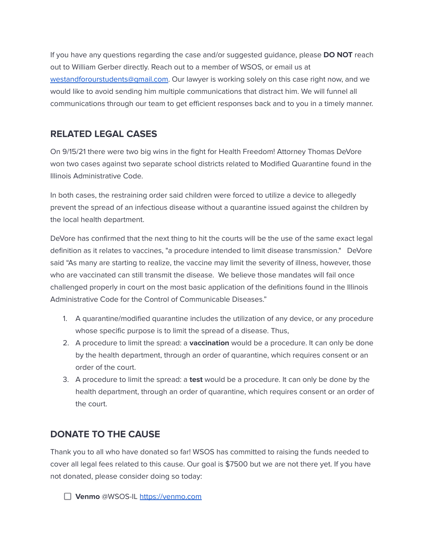If you have any questions regarding the case and/or suggested guidance, please **DO NOT** reach out to William Gerber directly. Reach out to a member of WSOS, or email us at westandforourstudents@gmail.com. Our lawyer is working solely on this case right now, and we would like to avoid sending him multiple communications that distract him. We will funnel all communications through our team to get efficient responses back and to you in a timely manner.

### **RELATED LEGAL CASES**

On 9/15/21 there were two big wins in the fight for Health Freedom! Attorney Thomas DeVore won two cases against two separate school districts related to Modified Quarantine found in the Illinois Administrative Code.

In both cases, the restraining order said children were forced to utilize a device to allegedly prevent the spread of an infectious disease without a quarantine issued against the children by the local health department.

DeVore has confirmed that the next thing to hit the courts will be the use of the same exact legal definition as it relates to vaccines, "a procedure intended to limit disease transmission." DeVore said "As many are starting to realize, the vaccine may limit the severity of illness, however, those who are vaccinated can still transmit the disease. We believe those mandates will fail once challenged properly in court on the most basic application of the definitions found in the Illinois Administrative Code for the Control of Communicable Diseases."

- 1. A quarantine/modified quarantine includes the utilization of any device, or any procedure whose specific purpose is to limit the spread of a disease. Thus,
- 2. A procedure to limit the spread: a **vaccination** would be a procedure. It can only be done by the health department, through an order of quarantine, which requires consent or an order of the court.
- 3. A procedure to limit the spread: a **test** would be a procedure. It can only be done by the health department, through an order of quarantine, which requires consent or an order of the court.

## **DONATE TO THE CAUSE**

Thank you to all who have donated so far! WSOS has committed to raising the funds needed to cover all legal fees related to this cause. Our goal is \$7500 but we are not there yet. If you have not donated, please consider doing so today:

**Venmo** @WSOS-IL https://venmo.com